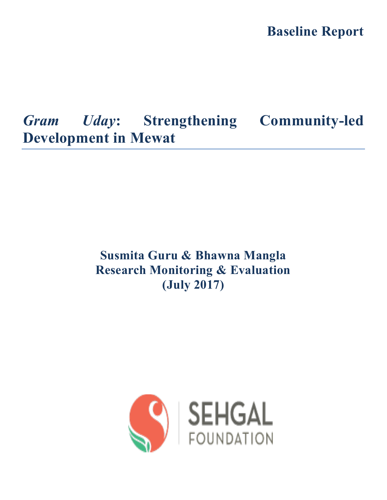**Baseline Report**

# *Gram Uday***: Strengthening Community-led Development in Mewat**

# **Susmita Guru & Bhawna Mangla Research Monitoring & Evaluation (July 2017)**

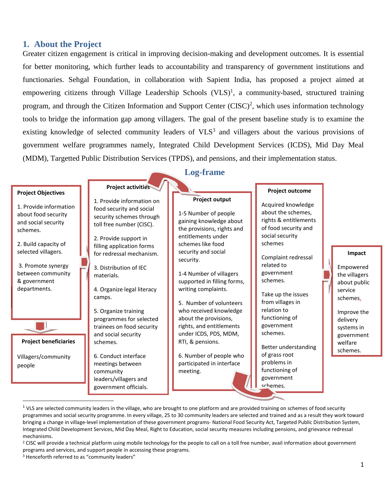### **1. About the Project**

Greater citizen engagement is critical in improving decision-making and development outcomes. It is essential for better monitoring, which further leads to accountability and transparency of government institutions and functionaries. Sehgal Foundation, in collaboration with Sapient India, has proposed a project aimed at empowering citizens through Village Leadership Schools  $(VLS)^1$ , a community-based, structured training program, and through the Citizen Information and Support Center (CISC)<sup>2</sup>, which uses information technology tools to bridge the information gap among villagers. The goal of the present baseline study is to examine the existing knowledge of selected community leaders of  $VLS<sup>3</sup>$  and villagers about the various provisions of government welfare programmes namely, Integrated Child Development Services (ICDS), Mid Day Meal (MDM), Targetted Public Distribution Services (TPDS), and pensions, and their implementation status.

#### **Log-frame Project activities Project outcome Project Objectives Project output** 1. Provide information on Acquired knowledge 1. Provide information food security and social about the schemes, 1-5 Number of people about food security security schemes through rights & entitlements gaining knowledge about and social security toll free number (CISC). of food security and the provisions, rights and schemes. social security entitlements under 2. Provide support in schemes 2. Build capacity of schemes like food filling application forms selected villagers. security and social for redressal mechanism. **Impact** Complaint redressal security. related to 3. Promote synergy Empowered 3. Distribution of IEC government between community 1-4 Number of villagers the villagers materials. schemes. & government supported in filling forms, about public departments.writing complaints. 4. Organize legal literacy service Take up the issues camps. schemes. from villages in 5. Number of volunteers relation to who received knowledge 5. Organize training Improve the functioning of programmes for selected about the provisions, delivery ٦ government rights, and entitlements trainees on food security systems in schemes. and social security under ICDS, PDS, MDM, government **Project beneficiaries** RTI, & pensions. schemes. welfare Better understanding schemes. 6. Number of people who of grass root 6. Conduct interface Villagers/community problems in meetings between participated in interface people functioning of meeting. community government leaders/villagers and

schemes.

government officials.

 $\overline{\phantom{a}}$ 

 $1$  VLS are selected community leaders in the village, who are brought to one platform and are provided training on schemes of food security programmes and social security programme. In every village, 25 to 30 community leaders are selected and trained and as a result they work toward bringing a change in village-level implementation of these government programs- National Food Security Act, Targeted Public Distribution System, Integrated Child Development Services, Mid Day Meal, Right to Education, social security measures including pensions, and grievance redressal mechanisms.

<sup>&</sup>lt;sup>2</sup> CISC will provide a technical platform using mobile technology for the people to call on a toll free number, avail information about government programs and services, and support people in accessing these programs.

<sup>&</sup>lt;sup>3</sup> Henceforth referred to as "community leaders"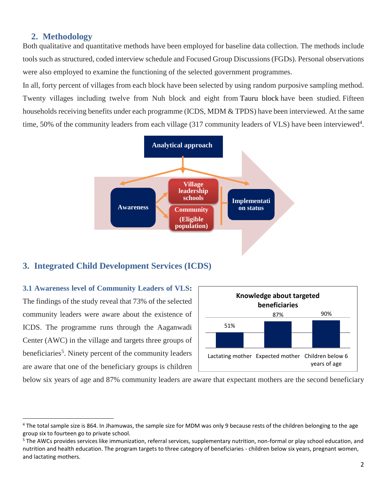#### **2. Methodology**

Both qualitative and quantitative methods have been employed for baseline data collection. The methods include tools such as structured, coded interview schedule and Focused Group Discussions (FGDs). Personal observations were also employed to examine the functioning of the selected government programmes.

In all, forty percent of villages from each block have been selected by using random purposive sampling method. Twenty villages including twelve from Nuh block and eight from Tauru block have been studied. Fifteen households receiving benefits under each programme (ICDS, MDM & TPDS) have been interviewed. At the same time, 50% of the community leaders from each village (317 community leaders of VLS) have been interviewed<sup>4</sup>.



### **3. Integrated Child Development Services (ICDS)**

**3.1 Awareness level of Community Leaders of VLS:** The findings of the study reveal that 73% of the selected community leaders were aware about the existence of ICDS. The programme runs through the Aaganwadi Center (AWC) in the village and targets three groups of beneficiaries<sup>5</sup>. Ninety percent of the community leaders are aware that one of the beneficiary groups is children

l



below six years of age and 87% community leaders are aware that expectant mothers are the second beneficiary

<sup>&</sup>lt;sup>4</sup> The total sample size is 864. In Jhamuwas, the sample size for MDM was only 9 because rests of the children belonging to the age group six to fourteen go to private school.

<sup>&</sup>lt;sup>5</sup> The AWCs provides services like immunization, referral services, supplementary nutrition, non-formal or play school education, and nutrition and health education. The program targets to three category of beneficiaries - children below six years, pregnant women, and lactating mothers.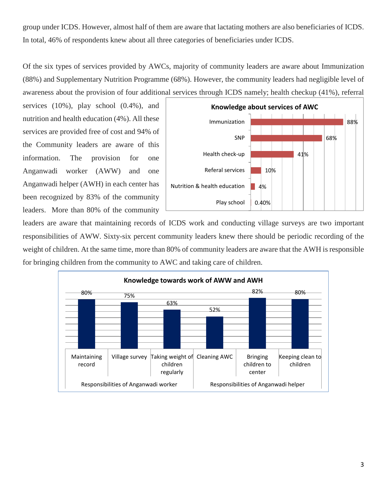group under ICDS. However, almost half of them are aware that lactating mothers are also beneficiaries of ICDS. In total, 46% of respondents knew about all three categories of beneficiaries under ICDS.

Of the six types of services provided by AWCs, majority of community leaders are aware about Immunization (88%) and Supplementary Nutrition Programme (68%). However, the community leaders had negligible level of awareness about the provision of four additional services through ICDS namely; health checkup (41%), referral

services (10%), play school (0.4%), and nutrition and health education (4%). All these services are provided free of cost and 94% of the Community leaders are aware of this information. The provision for one Anganwadi worker (AWW) and one Anganwadi helper (AWH) in each center has been recognized by 83% of the community leaders. More than 80% of the community



leaders are aware that maintaining records of ICDS work and conducting village surveys are two important responsibilities of AWW. Sixty-six percent community leaders knew there should be periodic recording of the weight of children. At the same time, more than 80% of community leaders are aware that the AWH is responsible for bringing children from the community to AWC and taking care of children.

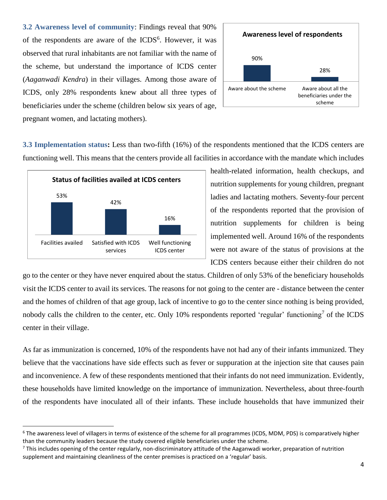**3.2 Awareness level of community**: Findings reveal that 90% of the respondents are aware of the ICDS<sup>6</sup>. However, it was observed that rural inhabitants are not familiar with the name of the scheme, but understand the importance of ICDS center (*Aaganwadi Kendra*) in their villages. Among those aware of ICDS, only 28% respondents knew about all three types of beneficiaries under the scheme (children below six years of age, pregnant women, and lactating mothers).



**3.3 Implementation status:** Less than two-fifth (16%) of the respondents mentioned that the ICDS centers are functioning well. This means that the centers provide all facilities in accordance with the mandate which includes



 $\overline{\phantom{a}}$ 

health-related information, health checkups, and nutrition supplements for young children, pregnant ladies and lactating mothers. Seventy-four percent of the respondents reported that the provision of nutrition supplements for children is being implemented well. Around 16% of the respondents were not aware of the status of provisions at the ICDS centers because either their children do not

go to the center or they have never enquired about the status. Children of only 53% of the beneficiary households visit the ICDS center to avail its services. The reasons for not going to the center are - distance between the center and the homes of children of that age group, lack of incentive to go to the center since nothing is being provided, nobody calls the children to the center, etc. Only 10% respondents reported 'regular' functioning<sup>7</sup> of the ICDS center in their village.

As far as immunization is concerned, 10% of the respondents have not had any of their infants immunized. They believe that the vaccinations have side effects such as fever or suppuration at the injection site that causes pain and inconvenience. A few of these respondents mentioned that their infants do not need immunization. Evidently, these households have limited knowledge on the importance of immunization. Nevertheless, about three-fourth of the respondents have inoculated all of their infants. These include households that have immunized their

<sup>&</sup>lt;sup>6</sup> The awareness level of villagers in terms of existence of the scheme for all programmes (ICDS, MDM, PDS) is comparatively higher than the community leaders because the study covered eligible beneficiaries under the scheme.

 $^7$  This includes opening of the center regularly, non-discriminatory attitude of the Aaganwadi worker, preparation of nutrition supplement and maintaining cleanliness of the center premises is practiced on a 'regular' basis.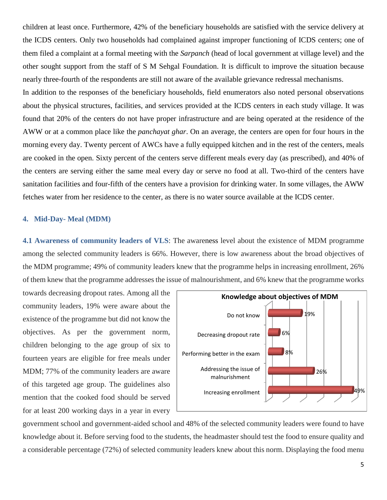children at least once. Furthermore, 42% of the beneficiary households are satisfied with the service delivery at the ICDS centers. Only two households had complained against improper functioning of ICDS centers; one of them filed a complaint at a formal meeting with the *Sarpanch* (head of local government at village level) and the other sought support from the staff of S M Sehgal Foundation. It is difficult to improve the situation because nearly three-fourth of the respondents are still not aware of the available grievance redressal mechanisms.

In addition to the responses of the beneficiary households, field enumerators also noted personal observations about the physical structures, facilities, and services provided at the ICDS centers in each study village. It was found that 20% of the centers do not have proper infrastructure and are being operated at the residence of the AWW or at a common place like the *panchayat ghar*. On an average, the centers are open for four hours in the morning every day. Twenty percent of AWCs have a fully equipped kitchen and in the rest of the centers, meals are cooked in the open. Sixty percent of the centers serve different meals every day (as prescribed), and 40% of the centers are serving either the same meal every day or serve no food at all. Two-third of the centers have sanitation facilities and four-fifth of the centers have a provision for drinking water. In some villages, the AWW fetches water from her residence to the center, as there is no water source available at the ICDS center.

#### **4. Mid-Day- Meal (MDM)**

**4.1 Awareness of community leaders of VLS**: The awareness level about the existence of MDM programme among the selected community leaders is 66%. However, there is low awareness about the broad objectives of the MDM programme; 49% of community leaders knew that the programme helps in increasing enrollment, 26% of them knew that the programme addresses the issue of malnourishment, and 6% knew that the programme works

towards decreasing dropout rates. Among all the community leaders, 19% were aware about the existence of the programme but did not know the objectives. As per the government norm, children belonging to the age group of six to fourteen years are eligible for free meals under MDM; 77% of the community leaders are aware of this targeted age group. The guidelines also mention that the cooked food should be served for at least 200 working days in a year in every



government school and government-aided school and 48% of the selected community leaders were found to have knowledge about it. Before serving food to the students, the headmaster should test the food to ensure quality and a considerable percentage (72%) of selected community leaders knew about this norm. Displaying the food menu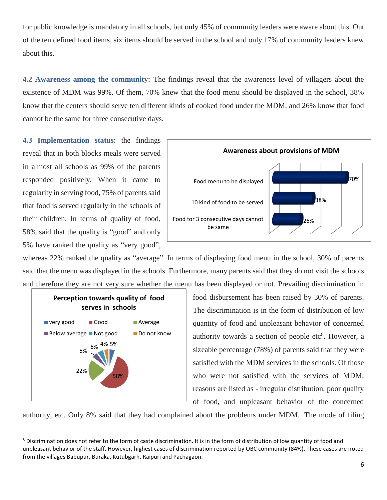for public knowledge is mandatory in all schools, but only 45% of community leaders were aware about this. Out of the ten defined food items, six items should be served in the school and only 17% of community leaders knew about this.

**4.2 Awareness among the community:** The findings reveal that the awareness level of villagers about the existence of MDM was 99%. Of them, 70% knew that the food menu should be displayed in the school, 38% know that the centers should serve ten different kinds of cooked food under the MDM, and 26% know that food cannot be the same for three consecutive days.

**4.3 Implementation status**: the findings reveal that in both blocks meals were served in almost all schools as 99% of the parents responded positively. When it came to regularity in serving food, 75% of parents said that food is served regularly in the schools of their children. In terms of quality of food, 58% said that the quality is "good" and only 5% have ranked the quality as "very good",



whereas 22% ranked the quality as "average". In terms of displaying food menu in the school, 30% of parents said that the menu was displayed in the schools. Furthermore, many parents said that they do not visit the schools and therefore they are not very sure whether the menu has been displayed or not. Prevailing discrimination in



l

food disbursement has been raised by 30% of parents. The discrimination is in the form of distribution of low quantity of food and unpleasant behavior of concerned authority towards a section of people  $etc<sup>8</sup>$ . However, a sizeable percentage (78%) of parents said that they were satisfied with the MDM services in the schools. Of those who were not satisfied with the services of MDM, reasons are listed as - irregular distribution, poor quality of food, and unpleasant behavior of the concerned

authority, etc. Only 8% said that they had complained about the problems under MDM. The mode of filing

<sup>&</sup>lt;sup>8</sup> Discrimination does not refer to the form of caste discrimination. It is in the form of distribution of low quantity of food and unpleasant behavior of the staff. However, highest cases of discrimination reported by OBC community (84%). These cases are noted from the villages Babupur, Buraka, Kutubgarh, Raipuri and Pachagaon.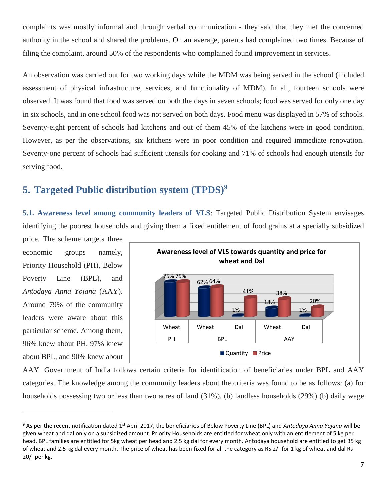complaints was mostly informal and through verbal communication - they said that they met the concerned authority in the school and shared the problems. On an average, parents had complained two times. Because of filing the complaint, around 50% of the respondents who complained found improvement in services.

An observation was carried out for two working days while the MDM was being served in the school (included assessment of physical infrastructure, services, and functionality of MDM). In all, fourteen schools were observed. It was found that food was served on both the days in seven schools; food was served for only one day in six schools, and in one school food was not served on both days. Food menu was displayed in 57% of schools. Seventy-eight percent of schools had kitchens and out of them 45% of the kitchens were in good condition. However, as per the observations, six kitchens were in poor condition and required immediate renovation. Seventy-one percent of schools had sufficient utensils for cooking and 71% of schools had enough utensils for serving food.

## **5. Targeted Public distribution system (TPDS)<sup>9</sup>**

**5.1. Awareness level among community leaders of VLS**: Targeted Public Distribution System envisages identifying the poorest households and giving them a fixed entitlement of food grains at a specially subsidized

price. The scheme targets three economic groups namely, Priority Household (PH), Below Poverty Line (BPL), and *Antodaya Anna Yojana* (AAY). Around 79% of the community leaders were aware about this particular scheme. Among them, 96% knew about PH, 97% knew about BPL, and 90% knew about

 $\overline{\phantom{a}}$ 



AAY. Government of India follows certain criteria for identification of beneficiaries under BPL and AAY categories. The knowledge among the community leaders about the criteria was found to be as follows: (a) for households possessing two or less than two acres of land (31%), (b) landless households (29%) (b) daily wage

<sup>&</sup>lt;sup>9</sup> As per the recent notification dated 1<sup>st</sup> April 2017, the beneficiaries of Below Poverty Line (BPL) and *Antodaya Anna Yojana* will be given wheat and dal only on a subsidized amount. Priority Households are entitled for wheat only with an entitlement of 5 kg per head. BPL families are entitled for 5kg wheat per head and 2.5 kg dal for every month. Antodaya household are entitled to get 35 kg of wheat and 2.5 kg dal every month. The price of wheat has been fixed for all the category as RS 2/- for 1 kg of wheat and dal Rs 20/- per kg.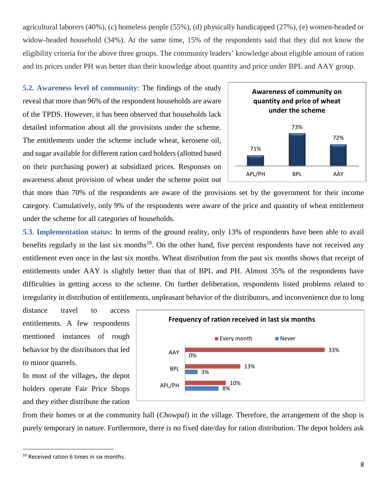agricultural laborers (40%), (c) homeless people (55%), (d) physically handicapped (27%), (e) women-headed or widow-headed household (34%). At the same time, 15% of the respondents said that they did not know the eligibility criteria for the above three groups. The community leaders' knowledge about eligible amount of ration and its prices under PH was better than their knowledge about quantity and price under BPL and AAY group.

**5.2. Awareness level of community**: The findings of the study reveal that more than 96% of the respondent households are aware of the TPDS. However, it has been observed that households lack detailed information about all the provisions under the scheme. The entitlements under the scheme include wheat, kerosene oil, and sugar available for different ration card holders (allotted based on their purchasing power) at subsidized prices. Responses on awareness about provision of wheat under the scheme point out



that more than 70% of the respondents are aware of the provisions set by the government for their income category. Cumulatively, only 9% of the respondents were aware of the price and quantity of wheat entitlement under the scheme for all categories of households.

**5.3. Implementation status:** In terms of the ground reality, only 13% of respondents have been able to avail benefits regularly in the last six months<sup>10</sup>. On the other hand, five percent respondents have not received any entitlement even once in the last six months. Wheat distribution from the past six months shows that receipt of entitlements under AAY is slightly better than that of BPL and PH. Almost 35% of the respondents have difficulties in getting access to the scheme. On further deliberation, respondents listed problems related to irregularity in distribution of entitlements, unpleasant behavior of the distributors, and inconvenience due to long

distance travel to access entitlements. A few respondents mentioned instances of rough behavior by the distributors that led to minor quarrels.

In most of the villages, the depot holders operate Fair Price Shops and they either distribute the ration



from their homes or at the community hall (*Chowpal*) in the village. Therefore, the arrangement of the shop is purely temporary in nature. Furthermore, there is no fixed date/day for ration distribution. The depot holders ask

l

<sup>&</sup>lt;sup>10</sup> Received ration 6 times in six months.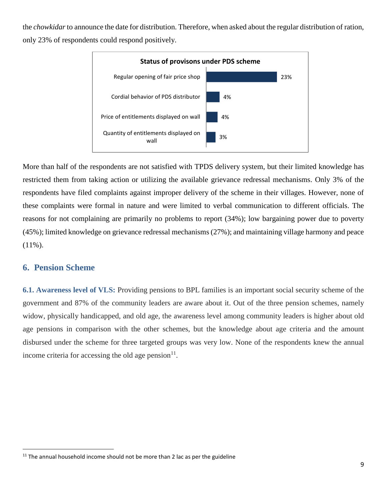the *chowkidar* to announce the date for distribution. Therefore, when asked about the regular distribution of ration, only 23% of respondents could respond positively.



More than half of the respondents are not satisfied with TPDS delivery system, but their limited knowledge has restricted them from taking action or utilizing the available grievance redressal mechanisms. Only 3% of the respondents have filed complaints against improper delivery of the scheme in their villages. However, none of these complaints were formal in nature and were limited to verbal communication to different officials. The reasons for not complaining are primarily no problems to report (34%); low bargaining power due to poverty (45%); limited knowledge on grievance redressal mechanisms (27%); and maintaining village harmony and peace (11%).

### **6. Pension Scheme**

l

**6.1. Awareness level of VLS:** Providing pensions to BPL families is an important social security scheme of the government and 87% of the community leaders are aware about it. Out of the three pension schemes, namely widow, physically handicapped, and old age, the awareness level among community leaders is higher about old age pensions in comparison with the other schemes, but the knowledge about age criteria and the amount disbursed under the scheme for three targeted groups was very low. None of the respondents knew the annual income criteria for accessing the old age pension $11$ .

 $11$  The annual household income should not be more than 2 lac as per the guideline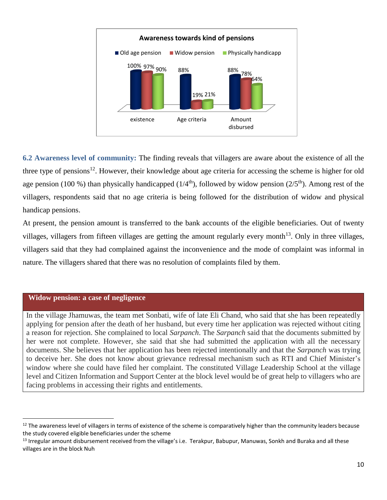

**6.2 Awareness level of community:** The finding reveals that villagers are aware about the existence of all the three type of pensions<sup>12</sup>. However, their knowledge about age criteria for accessing the scheme is higher for old age pension (100 %) than physically handicapped ( $1/4<sup>th</sup>$ ), followed by widow pension ( $2/5<sup>th</sup>$ ). Among rest of the villagers, respondents said that no age criteria is being followed for the distribution of widow and physical handicap pensions.

At present, the pension amount is transferred to the bank accounts of the eligible beneficiaries. Out of twenty villages, villagers from fifteen villages are getting the amount regularly every month<sup>13</sup>. Only in three villages, villagers said that they had complained against the inconvenience and the mode of complaint was informal in nature. The villagers shared that there was no resolution of complaints filed by them.

#### **Widow pension: a case of negligence**

l

In the village Jhamuwas, the team met Sonbati, wife of late Eli Chand, who said that she has been repeatedly applying for pension after the death of her husband, but every time her application was rejected without citing a reason for rejection. She complained to local *Sarpanch*. The *Sarpanch* said that the documents submitted by her were not complete. However, she said that she had submitted the application with all the necessary documents. She believes that her application has been rejected intentionally and that the *Sarpanch* was trying to deceive her. She does not know about grievance redressal mechanism such as RTI and Chief Minister's window where she could have filed her complaint. The constituted Village Leadership School at the village level and Citizen Information and Support Center at the block level would be of great help to villagers who are facing problems in accessing their rights and entitlements.

<sup>&</sup>lt;sup>12</sup> The awareness level of villagers in terms of existence of the scheme is comparatively higher than the community leaders because the study covered eligible beneficiaries under the scheme

 $13$  Irregular amount disbursement received from the village's i.e. Terakpur, Babupur, Manuwas, Sonkh and Buraka and all these villages are in the block Nuh